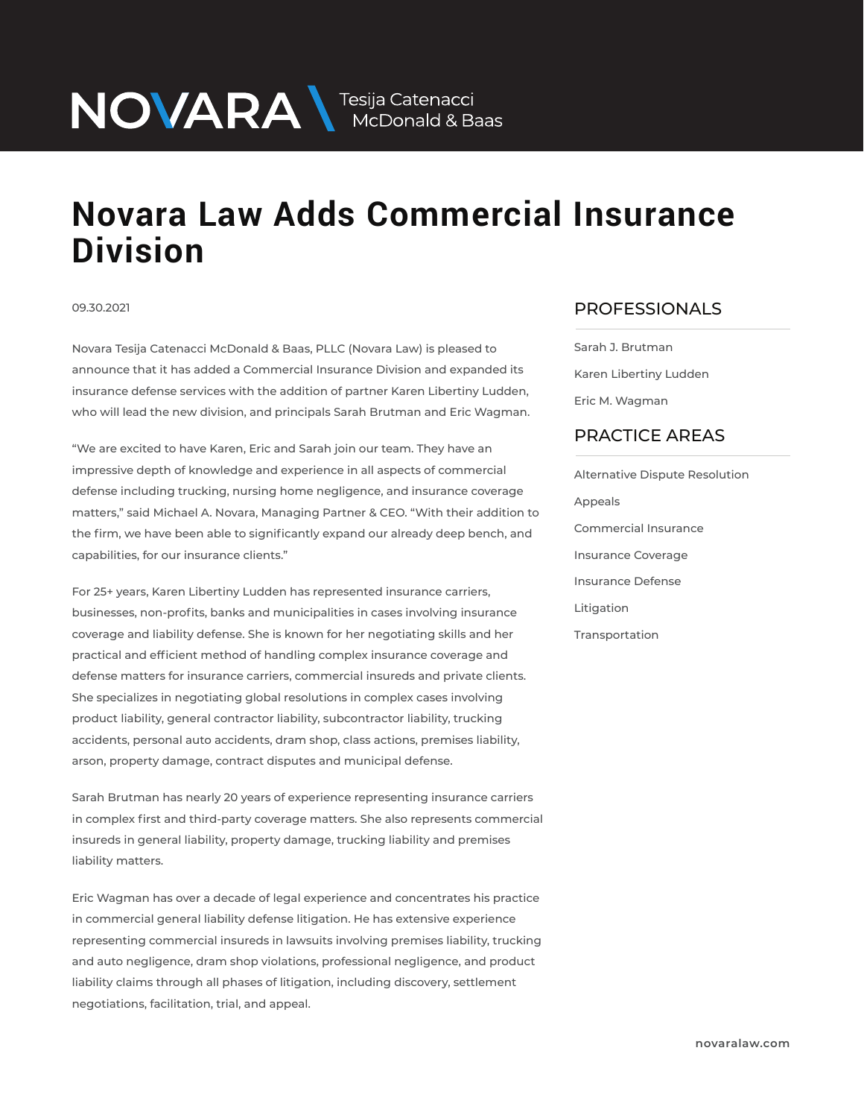# NOVARA MEDOnald & Baas

## **Novara Law Adds Commercial Insurance Division**

#### 09.30.2021

Novara Tesija Catenacci McDonald & Baas, PLLC (Novara Law) is pleased to announce that it has added a Commercial Insurance Division and expanded its insurance defense services with the addition of partner Karen Libertiny Ludden, who will lead the new division, and principals Sarah Brutman and Eric Wagman.

"We are excited to have Karen, Eric and Sarah join our team. They have an impressive depth of knowledge and experience in all aspects of commercial defense including trucking, nursing home negligence, and insurance coverage matters," said Michael A. Novara, Managing Partner & CEO. "With their addition to the firm, we have been able to significantly expand our already deep bench, and capabilities, for our insurance clients."

For 25+ years, Karen Libertiny Ludden has represented insurance carriers, businesses, non-profits, banks and municipalities in cases involving insurance coverage and liability defense. She is known for her negotiating skills and her practical and efficient method of handling complex insurance coverage and defense matters for insurance carriers, commercial insureds and private clients. She specializes in negotiating global resolutions in complex cases involving product liability, general contractor liability, subcontractor liability, trucking accidents, personal auto accidents, dram shop, class actions, premises liability, arson, property damage, contract disputes and municipal defense.

Sarah Brutman has nearly 20 years of experience representing insurance carriers in complex first and third-party coverage matters. She also represents commercial insureds in general liability, property damage, trucking liability and premises liability matters.

Eric Wagman has over a decade of legal experience and concentrates his practice in commercial general liability defense litigation. He has extensive experience representing commercial insureds in lawsuits involving premises liability, trucking and auto negligence, dram shop violations, professional negligence, and product liability claims through all phases of litigation, including discovery, settlement negotiations, facilitation, trial, and appeal.

### PROFESSIONALS  $\overline{\phantom{a}}$

Sarah J. Brutman Karen Libertiny Ludden Eric M. Wagman

### PRACTICE AREAS  $\overline{\phantom{a}}$

Alternative Dispute Resolution Appeals Commercial Insurance Insurance Coverage Insurance Defense Litigation Transportation